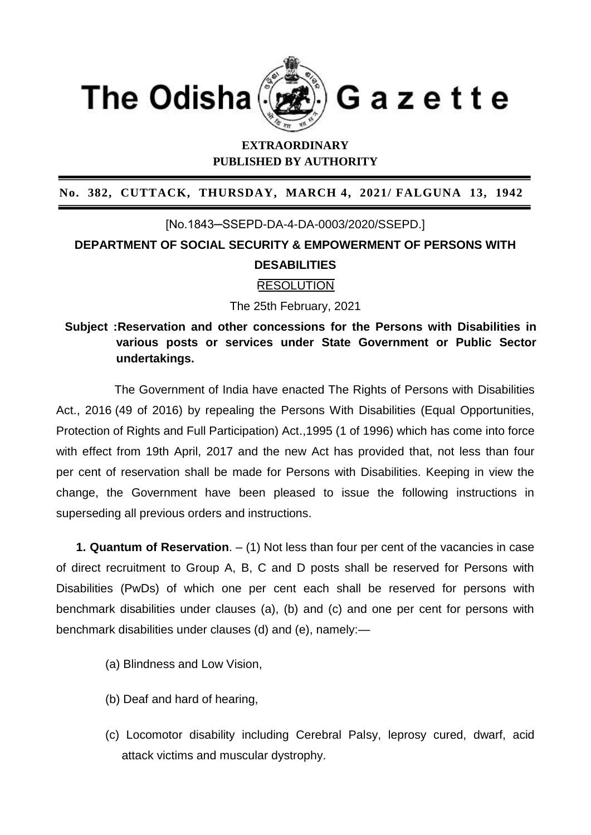

## **EXTRAORDINARY PUBLISHED BY AUTHORITY**

**No. 382, CUTTACK, THURSDAY, MARCH 4, 2021/ FALGUNA 13, 1942**

# [No.1843─SSEPD-DA-4-DA-0003/2020/SSEPD.] **DEPARTMENT OF SOCIAL SECURITY & EMPOWERMENT OF PERSONS WITH DESABILITIES**

#### **RESOLUTION**

The 25th February, 2021

**Subject :Reservation and other concessions for the Persons with Disabilities in various posts or services under State Government or Public Sector undertakings.**

 The Government of India have enacted The Rights of Persons with Disabilities Act., 2016 (49 of 2016) by repealing the Persons With Disabilities (Equal Opportunities, Protection of Rights and Full Participation) Act.,1995 (1 of 1996) which has come into force with effect from 19th April, 2017 and the new Act has provided that, not less than four per cent of reservation shall be made for Persons with Disabilities. Keeping in view the change, the Government have been pleased to issue the following instructions in superseding all previous orders and instructions.

 **1. Quantum of Reservation**. – (1) Not less than four per cent of the vacancies in case of direct recruitment to Group A, B, C and D posts shall be reserved for Persons with Disabilities (PwDs) of which one per cent each shall be reserved for persons with benchmark disabilities under clauses (a), (b) and (c) and one per cent for persons with benchmark disabilities under clauses (d) and (e), namely:—

- (a) Blindness and Low Vision,
- (b) Deaf and hard of hearing,
- (c) Locomotor disability including Cerebral Palsy, leprosy cured, dwarf, acid attack victims and muscular dystrophy.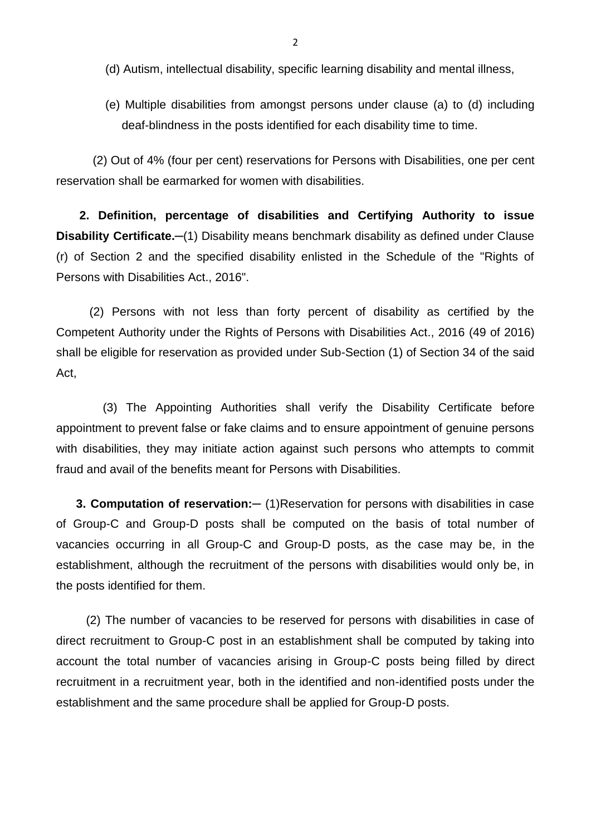- (d) Autism, intellectual disability, specific learning disability and mental illness,
- (e) Multiple disabilities from amongst persons under clause (a) to (d) including deaf-blindness in the posts identified for each disability time to time.

 (2) Out of 4% (four per cent) reservations for Persons with Disabilities, one per cent reservation shall be earmarked for women with disabilities.

 **2. Definition, percentage of disabilities and Certifying Authority to issue Disability Certificate.**  $-$ (1) Disability means benchmark disability as defined under Clause (r) of Section 2 and the specified disability enlisted in the Schedule of the "Rights of Persons with Disabilities Act., 2016".

 (2) Persons with not less than forty percent of disability as certified by the Competent Authority under the Rights of Persons with Disabilities Act., 2016 (49 of 2016) shall be eligible for reservation as provided under Sub-Section (1) of Section 34 of the said Act,

 (3) The Appointing Authorities shall verify the Disability Certificate before appointment to prevent false or fake claims and to ensure appointment of genuine persons with disabilities, they may initiate action against such persons who attempts to commit fraud and avail of the benefits meant for Persons with Disabilities.

 **3. Computation of reservation:─** (1)Reservation for persons with disabilities in case of Group-C and Group-D posts shall be computed on the basis of total number of vacancies occurring in all Group-C and Group-D posts, as the case may be, in the establishment, although the recruitment of the persons with disabilities would only be, in the posts identified for them.

 (2) The number of vacancies to be reserved for persons with disabilities in case of direct recruitment to Group-C post in an establishment shall be computed by taking into account the total number of vacancies arising in Group-C posts being filled by direct recruitment in a recruitment year, both in the identified and non-identified posts under the establishment and the same procedure shall be applied for Group-D posts.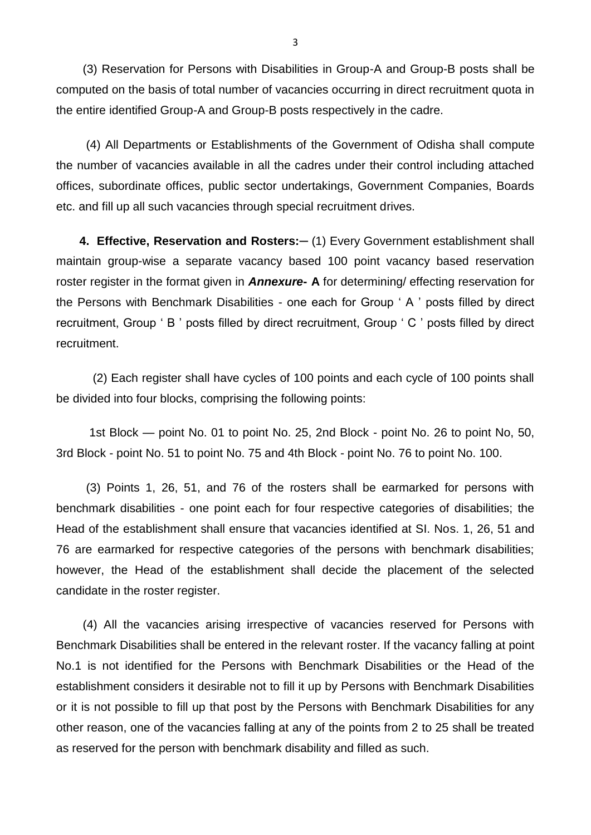(3) Reservation for Persons with Disabilities in Group-A and Group-B posts shall be computed on the basis of total number of vacancies occurring in direct recruitment quota in the entire identified Group-A and Group-B posts respectively in the cadre.

 (4) All Departments or Establishments of the Government of Odisha shall compute the number of vacancies available in all the cadres under their control including attached offices, subordinate offices, public sector undertakings, Government Companies, Boards etc. and fill up all such vacancies through special recruitment drives.

 **4. Effective, Reservation and Rosters:─** (1) Every Government establishment shall maintain group-wise a separate vacancy based 100 point vacancy based reservation roster register in the format given in *Annexure***- A** for determining/ effecting reservation for the Persons with Benchmark Disabilities - one each for Group ' A ' posts filled by direct recruitment, Group ' B ' posts filled by direct recruitment, Group ' C ' posts filled by direct recruitment.

 (2) Each register shall have cycles of 100 points and each cycle of 100 points shall be divided into four blocks, comprising the following points:

 1st Block — point No. 01 to point No. 25, 2nd Block - point No. 26 to point No, 50, 3rd Block - point No. 51 to point No. 75 and 4th Block - point No. 76 to point No. 100.

 (3) Points 1, 26, 51, and 76 of the rosters shall be earmarked for persons with benchmark disabilities - one point each for four respective categories of disabilities; the Head of the establishment shall ensure that vacancies identified at SI. Nos. 1, 26, 51 and 76 are earmarked for respective categories of the persons with benchmark disabilities; however, the Head of the establishment shall decide the placement of the selected candidate in the roster register.

 (4) All the vacancies arising irrespective of vacancies reserved for Persons with Benchmark Disabilities shall be entered in the relevant roster. If the vacancy falling at point No.1 is not identified for the Persons with Benchmark Disabilities or the Head of the establishment considers it desirable not to fill it up by Persons with Benchmark Disabilities or it is not possible to fill up that post by the Persons with Benchmark Disabilities for any other reason, one of the vacancies falling at any of the points from 2 to 25 shall be treated as reserved for the person with benchmark disability and filled as such.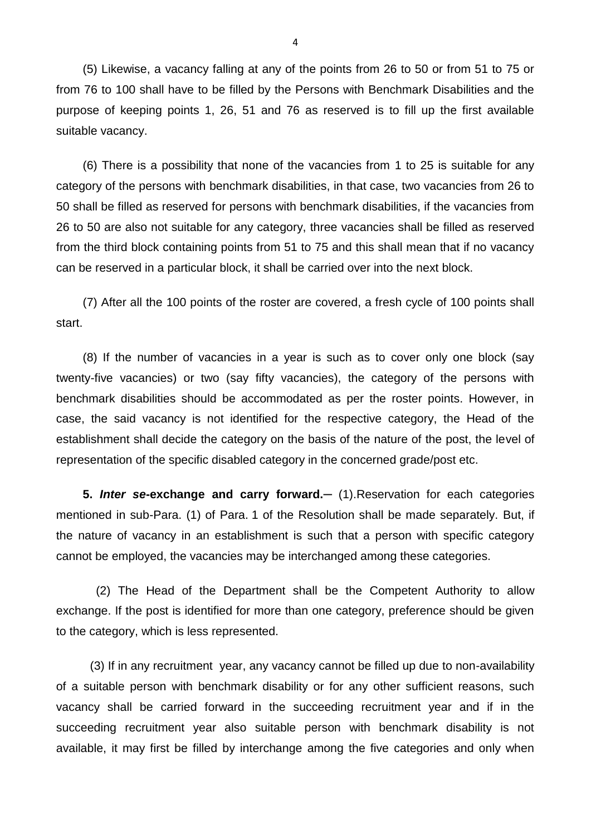(5) Likewise, a vacancy falling at any of the points from 26 to 50 or from 51 to 75 or from 76 to 100 shall have to be filled by the Persons with Benchmark Disabilities and the purpose of keeping points 1, 26, 51 and 76 as reserved is to fill up the first available suitable vacancy.

 (6) There is a possibility that none of the vacancies from 1 to 25 is suitable for any category of the persons with benchmark disabilities, in that case, two vacancies from 26 to 50 shall be filled as reserved for persons with benchmark disabilities, if the vacancies from 26 to 50 are also not suitable for any category, three vacancies shall be filled as reserved from the third block containing points from 51 to 75 and this shall mean that if no vacancy can be reserved in a particular block, it shall be carried over into the next block.

 (7) After all the 100 points of the roster are covered, a fresh cycle of 100 points shall start.

 (8) If the number of vacancies in a year is such as to cover only one block (say twenty-five vacancies) or two (say fifty vacancies), the category of the persons with benchmark disabilities should be accommodated as per the roster points. However, in case, the said vacancy is not identified for the respective category, the Head of the establishment shall decide the category on the basis of the nature of the post, the level of representation of the specific disabled category in the concerned grade/post etc.

 **5.** *Inter se***-exchange and carry forward.─** (1).Reservation for each categories mentioned in sub-Para. (1) of Para. 1 of the Resolution shall be made separately. But, if the nature of vacancy in an establishment is such that a person with specific category cannot be employed, the vacancies may be interchanged among these categories.

 (2) The Head of the Department shall be the Competent Authority to allow exchange. If the post is identified for more than one category, preference should be given to the category, which is less represented.

 (3) If in any recruitment year, any vacancy cannot be filled up due to non-availability of a suitable person with benchmark disability or for any other sufficient reasons, such vacancy shall be carried forward in the succeeding recruitment year and if in the succeeding recruitment year also suitable person with benchmark disability is not available, it may first be filled by interchange among the five categories and only when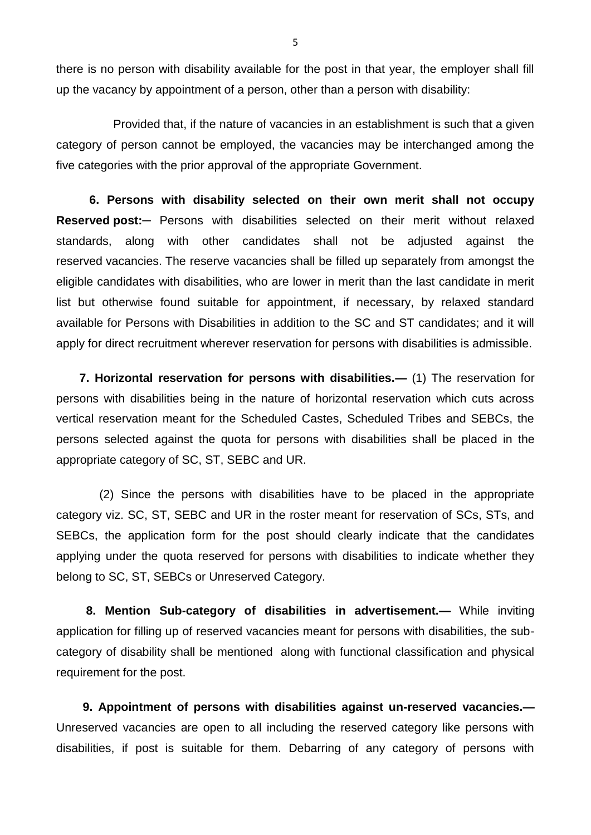there is no person with disability available for the post in that year, the employer shall fill up the vacancy by appointment of a person, other than a person with disability:

 Provided that, if the nature of vacancies in an establishment is such that a given category of person cannot be employed, the vacancies may be interchanged among the five categories with the prior approval of the appropriate Government.

 **6. Persons with disability selected on their own merit shall not occupy Reserved post:─** Persons with disabilities selected on their merit without relaxed standards, along with other candidates shall not be adjusted against the reserved vacancies. The reserve vacancies shall be filled up separately from amongst the eligible candidates with disabilities, who are lower in merit than the last candidate in merit list but otherwise found suitable for appointment, if necessary, by relaxed standard available for Persons with Disabilities in addition to the SC and ST candidates; and it will apply for direct recruitment wherever reservation for persons with disabilities is admissible.

 **7. Horizontal reservation for persons with disabilities.—** (1) The reservation for persons with disabilities being in the nature of horizontal reservation which cuts across vertical reservation meant for the Scheduled Castes, Scheduled Tribes and SEBCs, the persons selected against the quota for persons with disabilities shall be placed in the appropriate category of SC, ST, SEBC and UR.

 (2) Since the persons with disabilities have to be placed in the appropriate category viz. SC, ST, SEBC and UR in the roster meant for reservation of SCs, STs, and SEBCs, the application form for the post should clearly indicate that the candidates applying under the quota reserved for persons with disabilities to indicate whether they belong to SC, ST, SEBCs or Unreserved Category.

 **8. Mention Sub-category of disabilities in advertisement.—** While inviting application for filling up of reserved vacancies meant for persons with disabilities, the subcategory of disability shall be mentioned along with functional classification and physical requirement for the post.

 **9. Appointment of persons with disabilities against un-reserved vacancies.—** Unreserved vacancies are open to all including the reserved category like persons with disabilities, if post is suitable for them. Debarring of any category of persons with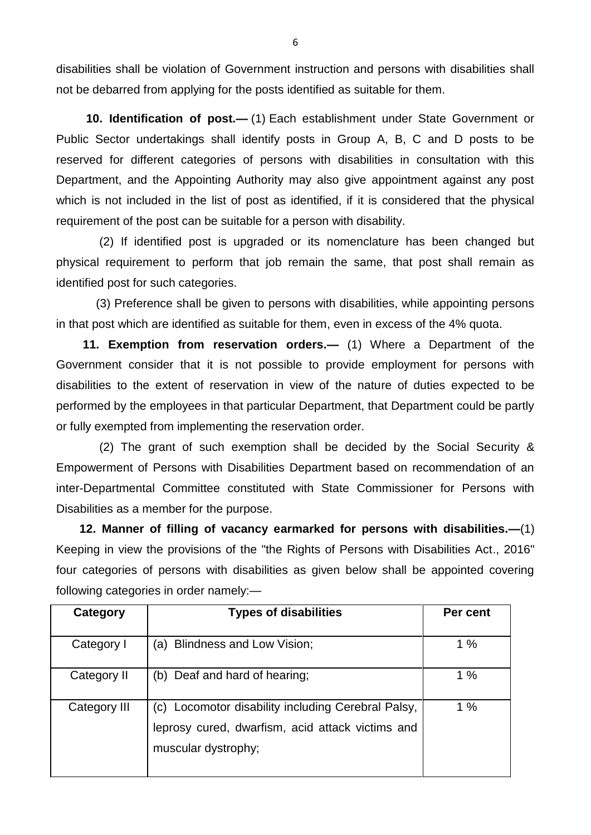disabilities shall be violation of Government instruction and persons with disabilities shall not be debarred from applying for the posts identified as suitable for them.

 **10. Identification of post.—** (1) Each establishment under State Government or Public Sector undertakings shall identify posts in Group A, B, C and D posts to be reserved for different categories of persons with disabilities in consultation with this Department, and the Appointing Authority may also give appointment against any post which is not included in the list of post as identified, if it is considered that the physical requirement of the post can be suitable for a person with disability.

 (2) If identified post is upgraded or its nomenclature has been changed but physical requirement to perform that job remain the same, that post shall remain as identified post for such categories.

 (3) Preference shall be given to persons with disabilities, while appointing persons in that post which are identified as suitable for them, even in excess of the 4% quota.

 **11. Exemption from reservation orders.—** (1) Where a Department of the Government consider that it is not possible to provide employment for persons with disabilities to the extent of reservation in view of the nature of duties expected to be performed by the employees in that particular Department, that Department could be partly or fully exempted from implementing the reservation order.

 (2) The grant of such exemption shall be decided by the Social Security & Empowerment of Persons with Disabilities Department based on recommendation of an inter-Departmental Committee constituted with State Commissioner for Persons with Disabilities as a member for the purpose.

 **12. Manner of filling of vacancy earmarked for persons with disabilities.—**(1) Keeping in view the provisions of the "the Rights of Persons with Disabilities Act., 2016" four categories of persons with disabilities as given below shall be appointed covering following categories in order namely:—

| Category     | <b>Types of disabilities</b>                                                                                              | Per cent |  |  |
|--------------|---------------------------------------------------------------------------------------------------------------------------|----------|--|--|
| Category I   | (a) Blindness and Low Vision;                                                                                             | 1%       |  |  |
| Category II  | Deaf and hard of hearing;<br>(b)                                                                                          | 1%       |  |  |
| Category III | Locomotor disability including Cerebral Palsy,<br>leprosy cured, dwarfism, acid attack victims and<br>muscular dystrophy; | 1%       |  |  |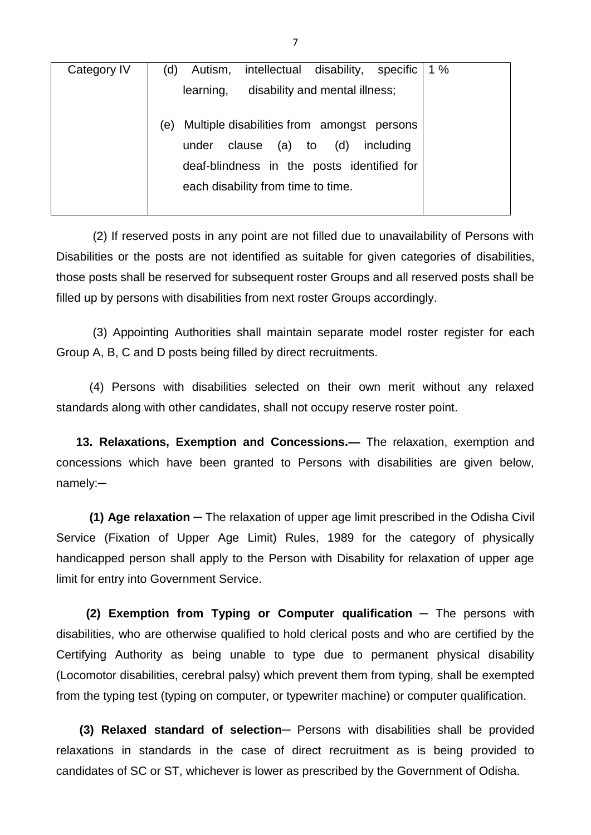| Category IV | 1 $%$<br>intellectual disability, specific<br>Autism,<br>(d)                                                                                                                             |
|-------------|------------------------------------------------------------------------------------------------------------------------------------------------------------------------------------------|
|             | disability and mental illness;<br>learning,                                                                                                                                              |
|             | Multiple disabilities from amongst persons<br>(e)<br>(d)<br>clause<br>$(a)$ to<br>including<br>under<br>deaf-blindness in the posts identified for<br>each disability from time to time. |
|             |                                                                                                                                                                                          |

 (2) If reserved posts in any point are not filled due to unavailability of Persons with Disabilities or the posts are not identified as suitable for given categories of disabilities, those posts shall be reserved for subsequent roster Groups and all reserved posts shall be filled up by persons with disabilities from next roster Groups accordingly.

 (3) Appointing Authorities shall maintain separate model roster register for each Group A, B, C and D posts being filled by direct recruitments.

 (4) Persons with disabilities selected on their own merit without any relaxed standards along with other candidates, shall not occupy reserve roster point.

 **13. Relaxations, Exemption and Concessions.—** The relaxation, exemption and concessions which have been granted to Persons with disabilities are given below, namely:─

 **(1) Age relaxation** ─ The relaxation of upper age limit prescribed in the Odisha Civil Service (Fixation of Upper Age Limit) Rules, 1989 for the category of physically handicapped person shall apply to the Person with Disability for relaxation of upper age limit for entry into Government Service.

 **(2) Exemption from Typing or Computer qualification** ─ The persons with disabilities, who are otherwise qualified to hold clerical posts and who are certified by the Certifying Authority as being unable to type due to permanent physical disability (Locomotor disabilities, cerebral palsy) which prevent them from typing, shall be exempted from the typing test (typing on computer, or typewriter machine) or computer qualification.

 **(3) Relaxed standard of selection─** Persons with disabilities shall be provided relaxations in standards in the case of direct recruitment as is being provided to candidates of SC or ST, whichever is lower as prescribed by the Government of Odisha.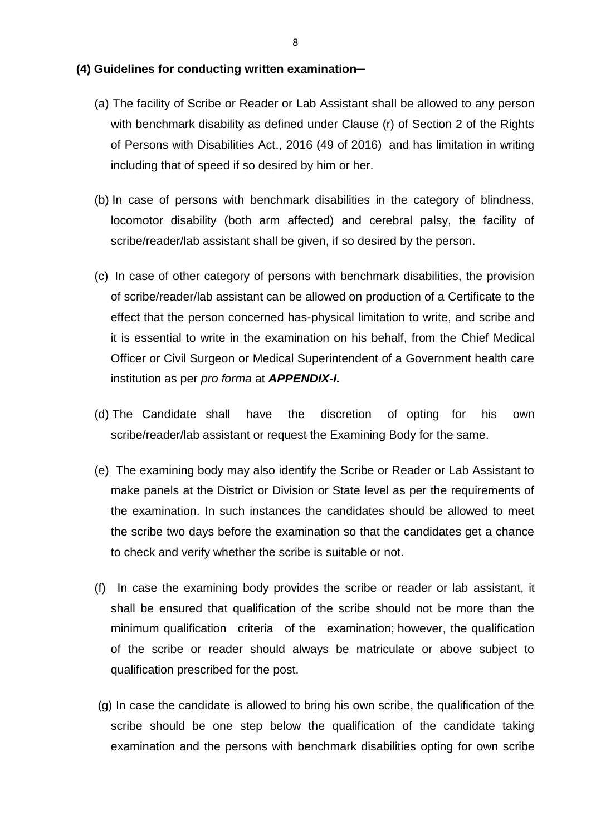#### **(4) Guidelines for conducting written examination**─

- (a) The facility of Scribe or Reader or Lab Assistant shall be allowed to any person with benchmark disability as defined under Clause (r) of Section 2 of the Rights of Persons with Disabilities Act., 2016 (49 of 2016) and has limitation in writing including that of speed if so desired by him or her.
- (b) In case of persons with benchmark disabilities in the category of blindness, locomotor disability (both arm affected) and cerebral palsy, the facility of scribe/reader/lab assistant shall be given, if so desired by the person.
- (c) In case of other category of persons with benchmark disabilities, the provision of scribe/reader/lab assistant can be allowed on production of a Certificate to the effect that the person concerned has-physical limitation to write, and scribe and it is essential to write in the examination on his behalf, from the Chief Medical Officer or Civil Surgeon or Medical Superintendent of a Government health care institution as per *pro forma* at *APPENDIX-I.*
- (d) The Candidate shall have the discretion of opting for his own scribe/reader/lab assistant or request the Examining Body for the same.
- (e) The examining body may also identify the Scribe or Reader or Lab Assistant to make panels at the District or Division or State level as per the requirements of the examination. In such instances the candidates should be allowed to meet the scribe two days before the examination so that the candidates get a chance to check and verify whether the scribe is suitable or not.
- (f) In case the examining body provides the scribe or reader or lab assistant, it shall be ensured that qualification of the scribe should not be more than the minimum qualification criteria of the examination; however, the qualification of the scribe or reader should always be matriculate or above subject to qualification prescribed for the post.
- (g) In case the candidate is allowed to bring his own scribe, the qualification of the scribe should be one step below the qualification of the candidate taking examination and the persons with benchmark disabilities opting for own scribe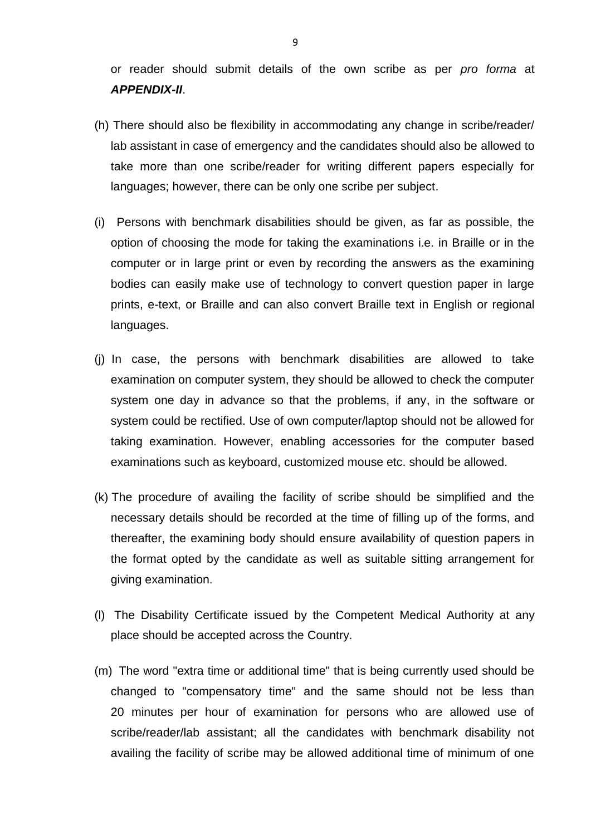or reader should submit details of the own scribe as per *pro forma* at *APPENDIX-II*.

- (h) There should also be flexibility in accommodating any change in scribe/reader/ lab assistant in case of emergency and the candidates should also be allowed to take more than one scribe/reader for writing different papers especially for languages; however, there can be only one scribe per subject.
- (i) Persons with benchmark disabilities should be given, as far as possible, the option of choosing the mode for taking the examinations i.e. in Braille or in the computer or in large print or even by recording the answers as the examining bodies can easily make use of technology to convert question paper in large prints, e-text, or Braille and can also convert Braille text in English or regional languages.
- (j) In case, the persons with benchmark disabilities are allowed to take examination on computer system, they should be allowed to check the computer system one day in advance so that the problems, if any, in the software or system could be rectified. Use of own computer/laptop should not be allowed for taking examination. However, enabling accessories for the computer based examinations such as keyboard, customized mouse etc. should be allowed.
- (k) The procedure of availing the facility of scribe should be simplified and the necessary details should be recorded at the time of filling up of the forms, and thereafter, the examining body should ensure availability of question papers in the format opted by the candidate as well as suitable sitting arrangement for giving examination.
- (l) The Disability Certificate issued by the Competent Medical Authority at any place should be accepted across the Country.
- (m) The word "extra time or additional time" that is being currently used should be changed to "compensatory time" and the same should not be less than 20 minutes per hour of examination for persons who are allowed use of scribe/reader/lab assistant; all the candidates with benchmark disability not availing the facility of scribe may be allowed additional time of minimum of one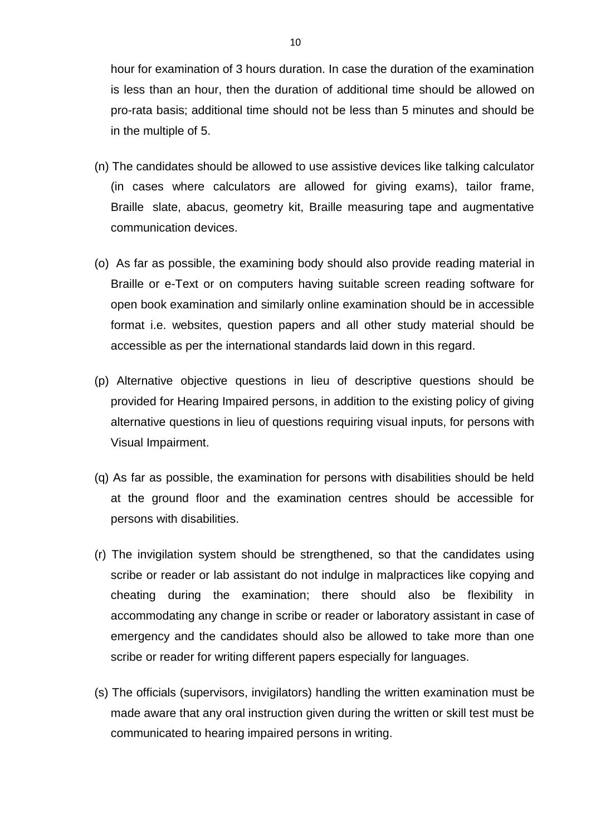hour for examination of 3 hours duration. In case the duration of the examination is less than an hour, then the duration of additional time should be allowed on pro-rata basis; additional time should not be less than 5 minutes and should be in the multiple of 5.

- (n) The candidates should be allowed to use assistive devices like talking calculator (in cases where calculators are allowed for giving exams), tailor frame, Braille slate, abacus, geometry kit, Braille measuring tape and augmentative communication devices.
- (o) As far as possible, the examining body should also provide reading material in Braille or e-Text or on computers having suitable screen reading software for open book examination and similarly online examination should be in accessible format i.e. websites, question papers and all other study material should be accessible as per the international standards laid down in this regard.
- (p) Alternative objective questions in lieu of descriptive questions should be provided for Hearing Impaired persons, in addition to the existing policy of giving alternative questions in lieu of questions requiring visual inputs, for persons with Visual Impairment.
- (q) As far as possible, the examination for persons with disabilities should be held at the ground floor and the examination centres should be accessible for persons with disabilities.
- (r) The invigilation system should be strengthened, so that the candidates using scribe or reader or lab assistant do not indulge in malpractices like copying and cheating during the examination; there should also be flexibility in accommodating any change in scribe or reader or laboratory assistant in case of emergency and the candidates should also be allowed to take more than one scribe or reader for writing different papers especially for languages.
- (s) The officials (supervisors, invigilators) handling the written examination must be made aware that any oral instruction given during the written or skill test must be communicated to hearing impaired persons in writing.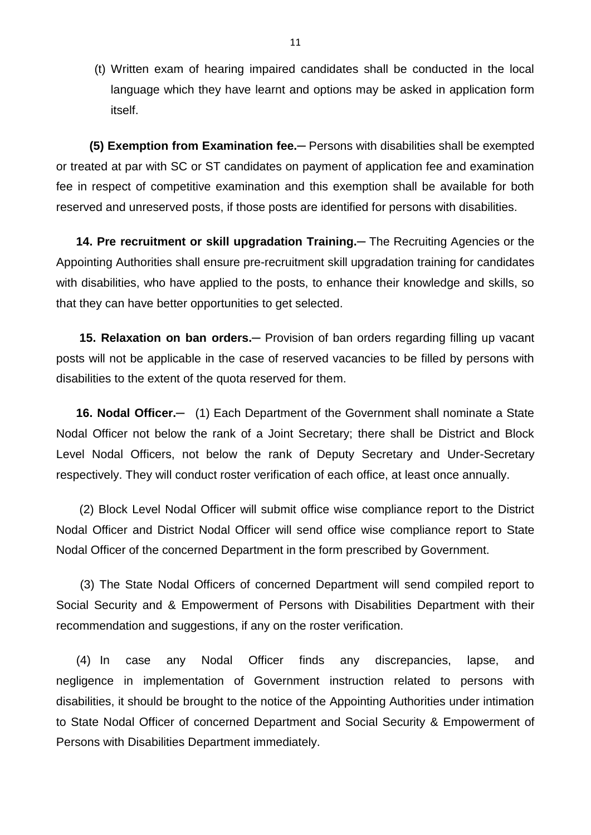(t) Written exam of hearing impaired candidates shall be conducted in the local language which they have learnt and options may be asked in application form itself.

 **(5) Exemption from Examination fee.**─ Persons with disabilities shall be exempted or treated at par with SC or ST candidates on payment of application fee and examination fee in respect of competitive examination and this exemption shall be available for both reserved and unreserved posts, if those posts are identified for persons with disabilities.

 **14. Pre recruitment or skill upgradation Training.**─ The Recruiting Agencies or the Appointing Authorities shall ensure pre-recruitment skill upgradation training for candidates with disabilities, who have applied to the posts, to enhance their knowledge and skills, so that they can have better opportunities to get selected.

**15. Relaxation on ban orders.**— Provision of ban orders regarding filling up vacant posts will not be applicable in the case of reserved vacancies to be filled by persons with disabilities to the extent of the quota reserved for them.

16. Nodal Officer.- (1) Each Department of the Government shall nominate a State Nodal Officer not below the rank of a Joint Secretary; there shall be District and Block Level Nodal Officers, not below the rank of Deputy Secretary and Under-Secretary respectively. They will conduct roster verification of each office, at least once annually.

 (2) Block Level Nodal Officer will submit office wise compliance report to the District Nodal Officer and District Nodal Officer will send office wise compliance report to State Nodal Officer of the concerned Department in the form prescribed by Government.

 (3) The State Nodal Officers of concerned Department will send compiled report to Social Security and & Empowerment of Persons with Disabilities Department with their recommendation and suggestions, if any on the roster verification.

 (4) In case any Nodal Officer finds any discrepancies, lapse, and negligence in implementation of Government instruction related to persons with disabilities, it should be brought to the notice of the Appointing Authorities under intimation to State Nodal Officer of concerned Department and Social Security & Empowerment of Persons with Disabilities Department immediately.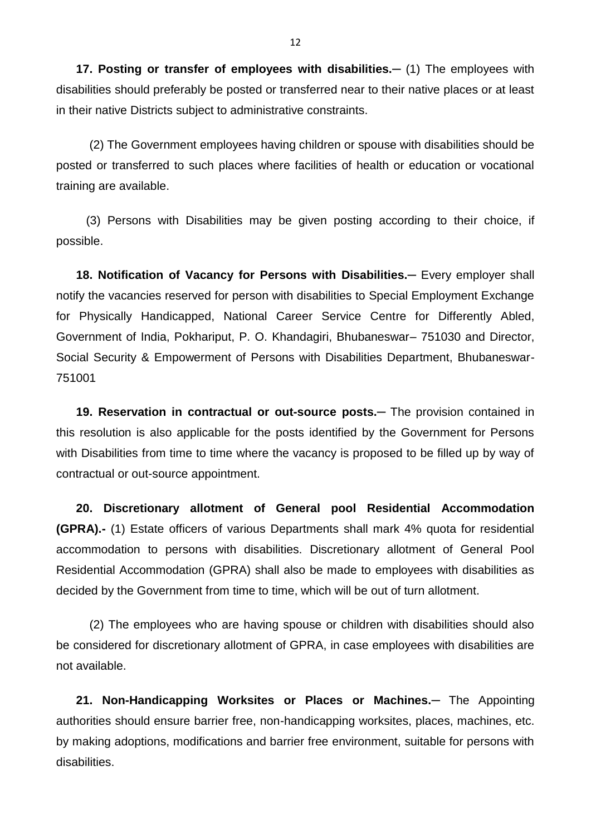**17. Posting or transfer of employees with disabilities.—** (1) The employees with disabilities should preferably be posted or transferred near to their native places or at least in their native Districts subject to administrative constraints.

 (2) The Government employees having children or spouse with disabilities should be posted or transferred to such places where facilities of health or education or vocational training are available.

 (3) Persons with Disabilities may be given posting according to their choice, if possible.

18. Notification of Vacancy for Persons with Disabilities. - Every employer shall notify the vacancies reserved for person with disabilities to Special Employment Exchange for Physically Handicapped, National Career Service Centre for Differently Abled, Government of India, Pokhariput, P. O. Khandagiri, Bhubaneswar– 751030 and Director, Social Security & Empowerment of Persons with Disabilities Department, Bhubaneswar-751001

**19. Reservation in contractual or out-source posts.—** The provision contained in this resolution is also applicable for the posts identified by the Government for Persons with Disabilities from time to time where the vacancy is proposed to be filled up by way of contractual or out-source appointment.

 **20. Discretionary allotment of General pool Residential Accommodation (GPRA).-** (1) Estate officers of various Departments shall mark 4% quota for residential accommodation to persons with disabilities. Discretionary allotment of General Pool Residential Accommodation (GPRA) shall also be made to employees with disabilities as decided by the Government from time to time, which will be out of turn allotment.

 (2) The employees who are having spouse or children with disabilities should also be considered for discretionary allotment of GPRA, in case employees with disabilities are not available.

 **21. Non-Handicapping Worksites or Places or Machines.─** The Appointing authorities should ensure barrier free, non-handicapping worksites, places, machines, etc. by making adoptions, modifications and barrier free environment, suitable for persons with disabilities.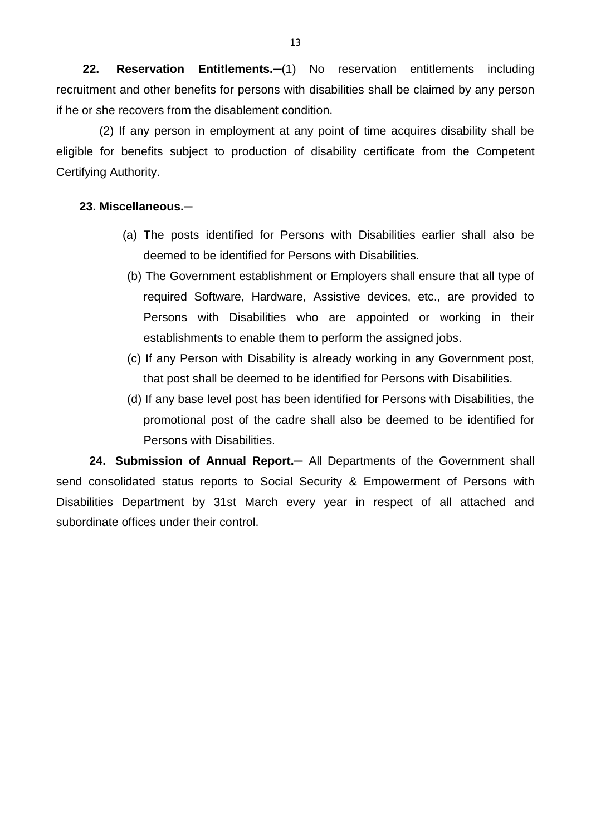**22. Reservation Entitlements.** - (1) No reservation entitlements including recruitment and other benefits for persons with disabilities shall be claimed by any person if he or she recovers from the disablement condition.

 (2) If any person in employment at any point of time acquires disability shall be eligible for benefits subject to production of disability certificate from the Competent Certifying Authority.

#### **23. Miscellaneous.─**

- (a) The posts identified for Persons with Disabilities earlier shall also be deemed to be identified for Persons with Disabilities.
- (b) The Government establishment or Employers shall ensure that all type of required Software, Hardware, Assistive devices, etc., are provided to Persons with Disabilities who are appointed or working in their establishments to enable them to perform the assigned jobs.
- (c) If any Person with Disability is already working in any Government post, that post shall be deemed to be identified for Persons with Disabilities.
- (d) If any base level post has been identified for Persons with Disabilities, the promotional post of the cadre shall also be deemed to be identified for Persons with Disabilities.

 **24. Submission of Annual Report.─** All Departments of the Government shall send consolidated status reports to Social Security & Empowerment of Persons with Disabilities Department by 31st March every year in respect of all attached and subordinate offices under their control.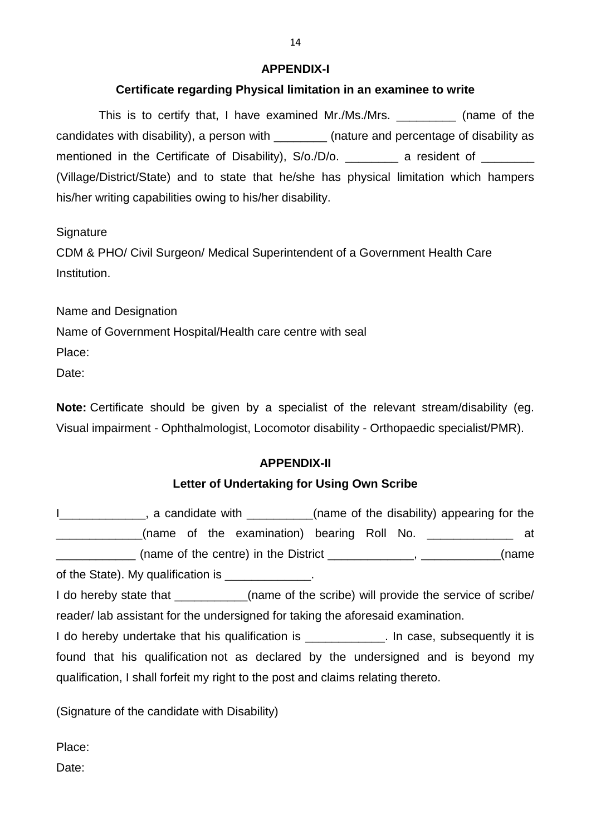#### **APPENDIX-I**

## **Certificate regarding Physical limitation in an examinee to write**

This is to certify that, I have examined Mr./Ms./Mrs. \_\_\_\_\_\_\_\_\_ (name of the candidates with disability), a person with \_\_\_\_\_\_\_\_ (nature and percentage of disability as mentioned in the Certificate of Disability), S/o./D/o. \_\_\_\_\_\_\_\_ a resident of \_\_\_\_\_\_\_ (Village/District/State) and to state that he/she has physical limitation which hampers his/her writing capabilities owing to his/her disability.

**Signature** 

CDM & PHO/ Civil Surgeon/ Medical Superintendent of a Government Health Care Institution.

Name and Designation

Name of Government Hospital/Health care centre with seal

Place:

Date:

**Note:** Certificate should be given by a specialist of the relevant stream/disability (eg. Visual impairment - Ophthalmologist, Locomotor disability - Orthopaedic specialist/PMR).

### **APPENDIX-II**

### **Letter of Undertaking for Using Own Scribe**

| I_____________, a candidate with _________(name of the disability) appearing for the       |  |  |  |  |  |  |  |
|--------------------------------------------------------------------------------------------|--|--|--|--|--|--|--|
| ____________(name of the examination) bearing Roll No. ____________ at                     |  |  |  |  |  |  |  |
| ______________ (name of the centre) in the District ______________, ____________(name      |  |  |  |  |  |  |  |
| of the State). My qualification is ______________.                                         |  |  |  |  |  |  |  |
| I do hereby state that ___________(name of the scribe) will provide the service of scribe/ |  |  |  |  |  |  |  |
| reader/ lab assistant for the undersigned for taking the aforesaid examination.            |  |  |  |  |  |  |  |
| I do hereby undertake that his qualification is _____________. In case, subsequently it is |  |  |  |  |  |  |  |
| found that his qualification not as declared by the undersigned and is beyond my           |  |  |  |  |  |  |  |
| qualification, I shall forfeit my right to the post and claims relating thereto.           |  |  |  |  |  |  |  |
|                                                                                            |  |  |  |  |  |  |  |

(Signature of the candidate with Disability)

Place:

Date: